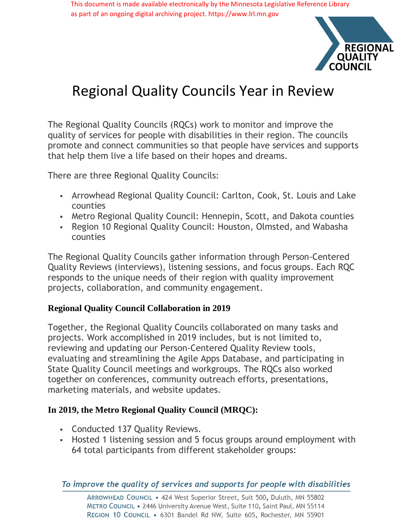This document is made available electronically by the Minnesota Legislative Reference Library as part of an ongoing digital archiving project. https://www.lrl.mn.gov



# Regional Quality Councils Year in Review

The Regional Quality Councils (RQCs) work to monitor and improve the quality of services for people with disabilities in their region. The councils promote and connect communities so that people have services and supports that help them live a life based on their hopes and dreams.

There are three Regional Quality Councils:

- Arrowhead Regional Quality Council: Carlton, Cook, St. Louis and Lake counties
- Metro Regional Quality Council: Hennepin, Scott, and Dakota counties
- Region 10 Regional Quality Council: Houston, Olmsted, and Wabasha counties

The Regional Quality Councils gather information through Person-Centered Quality Reviews (interviews), listening sessions, and focus groups. Each RQC responds to the unique needs of their region with quality improvement projects, collaboration, and community engagement.

# **Regional Quality Council Collaboration in 2019**

Together, the Regional Quality Councils collaborated on many tasks and projects. Work accomplished in 2019 includes, but is not limited to, reviewing and updating our Person-Centered Quality Review tools, evaluating and streamlining the Agile Apps Database, and participating in State Quality Council meetings and workgroups. The RQCs also worked together on conferences, community outreach efforts, presentations, marketing materials, and website updates.

# **In 2019, the Metro Regional Quality Council (MRQC):**

- Conducted 137 Quality Reviews.
- Hosted 1 listening session and 5 focus groups around employment with 64 total participants from different stakeholder groups: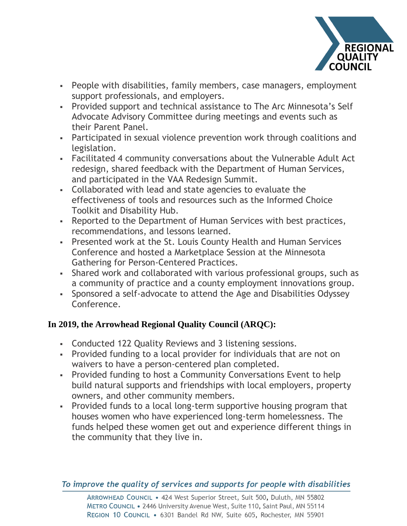

- People with disabilities, family members, case managers, employment support professionals, and employers.
- Provided support and technical assistance to The Arc Minnesota's Self Advocate Advisory Committee during meetings and events such as their Parent Panel.
- Participated in sexual violence prevention work through coalitions and legislation.
- Facilitated 4 community conversations about the Vulnerable Adult Act redesign, shared feedback with the Department of Human Services, and participated in the VAA Redesign Summit.
- Collaborated with lead and state agencies to evaluate the effectiveness of tools and resources such as the Informed Choice Toolkit and Disability Hub.
- Reported to the Department of Human Services with best practices, recommendations, and lessons learned.
- Presented work at the St. Louis County Health and Human Services Conference and hosted a Marketplace Session at the Minnesota Gathering for Person-Centered Practices.
- Shared work and collaborated with various professional groups, such as a community of practice and a county employment innovations group.
- Sponsored a self-advocate to attend the Age and Disabilities Odyssey Conference.

# **In 2019, the Arrowhead Regional Quality Council (ARQC):**

- Conducted 122 Quality Reviews and 3 listening sessions.
- Provided funding to a local provider for individuals that are not on waivers to have a person-centered plan completed.
- Provided funding to host a Community Conversations Event to help build natural supports and friendships with local employers, property owners, and other community members.
- Provided funds to a local long-term supportive housing program that houses women who have experienced long-term homelessness. The funds helped these women get out and experience different things in the community that they live in.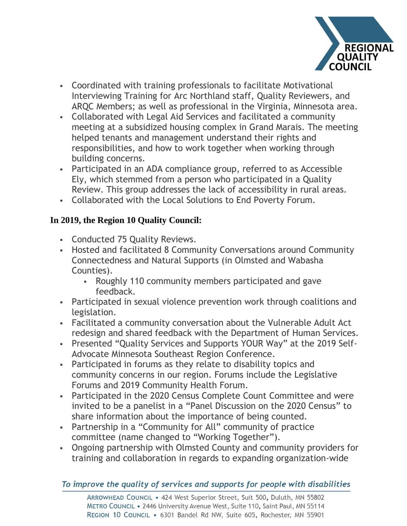

- Coordinated with training professionals to facilitate Motivational Interviewing Training for Arc Northland staff, Quality Reviewers, and ARQC Members; as well as professional in the Virginia, Minnesota area.
- Collaborated with Legal Aid Services and facilitated a community meeting at a subsidized housing complex in Grand Marais. The meeting helped tenants and management understand their rights and responsibilities, and how to work together when working through building concerns.
- Participated in an ADA compliance group, referred to as Accessible Ely, which stemmed from a person who participated in a Quality Review. This group addresses the lack of accessibility in rural areas.
- Collaborated with the Local Solutions to End Poverty Forum.

# **In 2019, the Region 10 Quality Council:**

- Conducted 75 Quality Reviews.
- Hosted and facilitated 8 Community Conversations around Community Connectedness and Natural Supports (in Olmsted and Wabasha Counties).
	- Roughly 110 community members participated and gave feedback.
- Participated in sexual violence prevention work through coalitions and legislation.
- Facilitated a community conversation about the Vulnerable Adult Act redesign and shared feedback with the Department of Human Services.
- Presented "Quality Services and Supports YOUR Way" at the 2019 Self-Advocate Minnesota Southeast Region Conference.
- Participated in forums as they relate to disability topics and community concerns in our region. Forums include the Legislative Forums and 2019 Community Health Forum.
- Participated in the 2020 Census Complete Count Committee and were invited to be a panelist in a "Panel Discussion on the 2020 Census" to share information about the importance of being counted.
- Partnership in a "Community for All" community of practice committee (name changed to "Working Together").
- Ongoing partnership with Olmsted County and community providers for training and collaboration in regards to expanding organization-wide